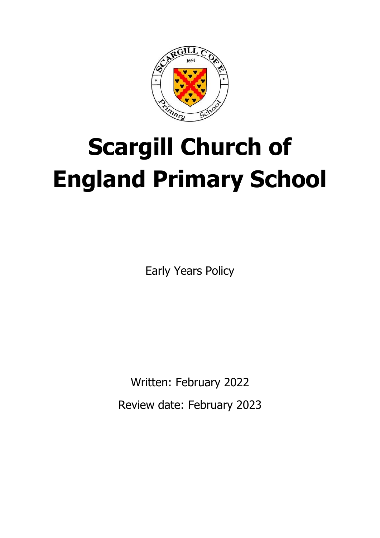

# **Scargill Church of England Primary School**

Early Years Policy

Written: February 2022 Review date: February 2023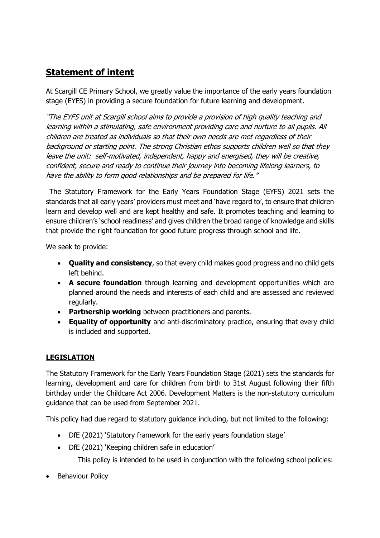# **Statement of intent**

At Scargill CE Primary School, we greatly value the importance of the early years foundation stage (EYFS) in providing a secure foundation for future learning and development.

"The EYFS unit at Scargill school aims to provide a provision of high quality teaching and learning within a stimulating, safe environment providing care and nurture to all pupils. All children are treated as individuals so that their own needs are met regardless of their background or starting point. The strong Christian ethos supports children well so that they leave the unit: self-motivated, independent, happy and energised, they will be creative, confident, secure and ready to continue their journey into becoming lifelong learners, to have the ability to form good relationships and be prepared for life."

2The Statutory Framework for the Early Years Foundation Stage (EYFS) 2021 sets the standards that all early years' providers must meet and 'have regard to', to ensure that children learn and develop well and are kept healthy and safe. It promotes teaching and learning to ensure children's 'school readiness' and gives children the broad range of knowledge and skills that provide the right foundation for good future progress through school and life. 2

We seek to provide:

- **Quality and consistency**, so that every child makes good progress and no child gets left behind.
- **A secure foundation** through learning and development opportunities which are planned around the needs and interests of each child and are assessed and reviewed regularly.
- **Partnership working** between practitioners and parents.
- **Equality of opportunity** and anti-discriminatory practice, ensuring that every child is included and supported.

#### **LEGISLATION**

The Statutory Framework for the Early Years Foundation Stage (2021) sets the standards for learning, development and care for children from birth to 31st August following their fifth birthday under the Childcare Act 2006. Development Matters is the non-statutory curriculum guidance that can be used from September 2021.

This policy had due regard to statutory guidance including, but not limited to the following:

- DfE (2021) 'Statutory framework for the early years foundation stage'
- DfE (2021) 'Keeping children safe in education'

This policy is intended to be used in conjunction with the following school policies:

• Behaviour Policy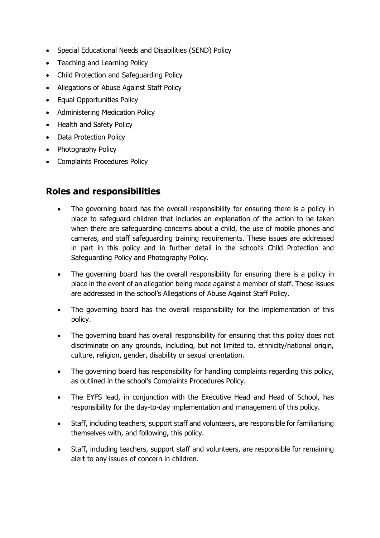- Special Educational Needs and Disabilities (SEND) Policy
- Teaching and Learning Policy
- Child Protection and Safeguarding Policy
- Allegations of Abuse Against Staff Policy
- Equal Opportunities Policy
- Administering Medication Policy
- Health and Safety Policy
- Data Protection Policy
- Photography Policy
- Complaints Procedures Policy

# **Roles and responsibilities**

- The governing board has the overall responsibility for ensuring there is a policy in place to safeguard children that includes an explanation of the action to be taken when there are safeguarding concerns about a child, the use of mobile phones and cameras, and staff safeguarding training requirements. These issues are addressed in part in this policy and in further detail in the school's Child Protection and Safeguarding Policy and Photography Policy.
- The governing board has the overall responsibility for ensuring there is a policy in place in the event of an allegation being made against a member of staff. These issues are addressed in the school's Allegations of Abuse Against Staff Policy.
- The governing board has the overall responsibility for the implementation of this policy.
- The governing board has overall responsibility for ensuring that this policy does not discriminate on any grounds, including, but not limited to, ethnicity/national origin, culture, religion, gender, disability or sexual orientation.
- The governing board has responsibility for handling complaints regarding this policy, as outlined in the school's Complaints Procedures Policy.
- The EYFS lead, in conjunction with the Executive Head and Head of School, has responsibility for the day-to-day implementation and management of this policy.
- Staff, including teachers, support staff and volunteers, are responsible for familiarising themselves with, and following, this policy.
- Staff, including teachers, support staff and volunteers, are responsible for remaining alert to any issues of concern in children.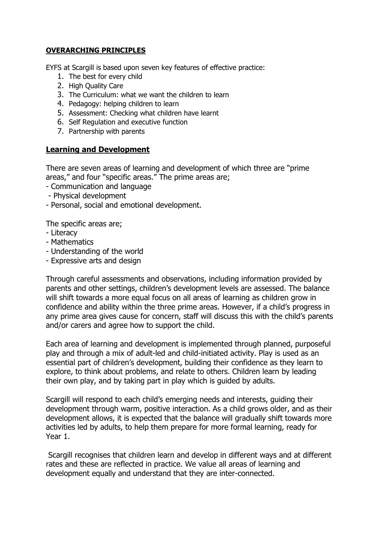#### **OVERARCHING PRINCIPLES**

EYFS at Scargill is based upon seven key features of effective practice:

- 1. The best for every child
- 2. High Ouality Care
- 3. The Curriculum: what we want the children to learn
- 4. Pedagogy: helping children to learn
- 5. Assessment: Checking what children have learnt
- 6. Self Regulation and executive function
- 7. Partnership with parents

#### **Learning and Development**

There are seven areas of learning and development of which three are "prime areas," and four "specific areas." The prime areas are;

- Communication and language
- Physical development
- Personal, social and emotional development.

The specific areas are;

- Literacy
- Mathematics
- Understanding of the world
- Expressive arts and design

Through careful assessments and observations, including information provided by parents and other settings, children's development levels are assessed. The balance will shift towards a more equal focus on all areas of learning as children grow in confidence and ability within the three prime areas. However, if a child's progress in any prime area gives cause for concern, staff will discuss this with the child's parents and/or carers and agree how to support the child.

Each area of learning and development is implemented through planned, purposeful play and through a mix of adult-led and child-initiated activity. Play is used as an essential part of children's development, building their confidence as they learn to explore, to think about problems, and relate to others. Children learn by leading their own play, and by taking part in play which is guided by adults.

Scargill will respond to each child's emerging needs and interests, guiding their development through warm, positive interaction. As a child grows older, and as their development allows, it is expected that the balance will gradually shift towards more activities led by adults, to help them prepare for more formal learning, ready for Year 1.

Scargill recognises that children learn and develop in different ways and at different rates and these are reflected in practice. We value all areas of learning and development equally and understand that they are inter-connected.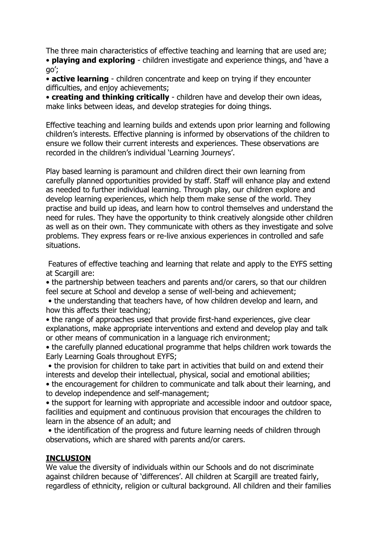The three main characteristics of effective teaching and learning that are used are; • **playing and exploring** - children investigate and experience things, and 'have a go';

• **active learning** - children concentrate and keep on trying if they encounter difficulties, and enjoy achievements;

• **creating and thinking critically** - children have and develop their own ideas, make links between ideas, and develop strategies for doing things.

Effective teaching and learning builds and extends upon prior learning and following children's interests. Effective planning is informed by observations of the children to ensure we follow their current interests and experiences. These observations are recorded in the children's individual 'Learning Journeys'.

Play based learning is paramount and children direct their own learning from carefully planned opportunities provided by staff. Staff will enhance play and extend as needed to further individual learning. Through play, our children explore and develop learning experiences, which help them make sense of the world. They practise and build up ideas, and learn how to control themselves and understand the need for rules. They have the opportunity to think creatively alongside other children as well as on their own. They communicate with others as they investigate and solve problems. They express fears or re-live anxious experiences in controlled and safe situations.

Features of effective teaching and learning that relate and apply to the EYFS setting at Scargill are:

• the partnership between teachers and parents and/or carers, so that our children feel secure at School and develop a sense of well-being and achievement;

• the understanding that teachers have, of how children develop and learn, and how this affects their teaching;

• the range of approaches used that provide first-hand experiences, give clear explanations, make appropriate interventions and extend and develop play and talk or other means of communication in a language rich environment;

• the carefully planned educational programme that helps children work towards the Early Learning Goals throughout EYFS;

• the provision for children to take part in activities that build on and extend their interests and develop their intellectual, physical, social and emotional abilities;

• the encouragement for children to communicate and talk about their learning, and to develop independence and self-management;

• the support for learning with appropriate and accessible indoor and outdoor space, facilities and equipment and continuous provision that encourages the children to learn in the absence of an adult; and

• the identification of the progress and future learning needs of children through observations, which are shared with parents and/or carers.

#### **INCLUSION**

We value the diversity of individuals within our Schools and do not discriminate against children because of 'differences'. All children at Scargill are treated fairly, regardless of ethnicity, religion or cultural background. All children and their families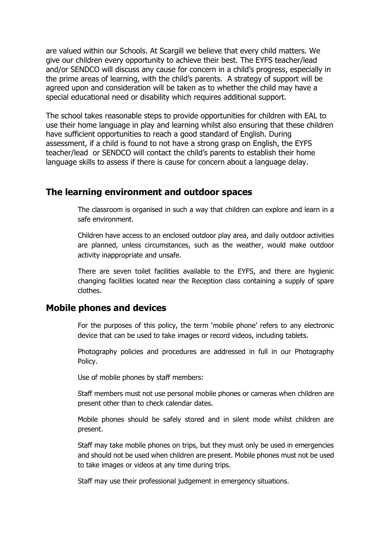are valued within our Schools. At Scargill we believe that every child matters. We give our children every opportunity to achieve their best. The EYFS teacher/lead and/or SENDCO will discuss any cause for concern in a child's progress, especially in the prime areas of learning, with the child's parents. A strategy of support will be agreed upon and consideration will be taken as to whether the child may have a special educational need or disability which requires additional support.

The school takes reasonable steps to provide opportunities for children with EAL to use their home language in play and learning whilst also ensuring that these children have sufficient opportunities to reach a good standard of English. During assessment, if a child is found to not have a strong grasp on English, the EYFS teacher/lead or SENDCO will contact the child's parents to establish their home language skills to assess if there is cause for concern about a language delay.

#### **The learning environment and outdoor spaces**

The classroom is organised in such a way that children can explore and learn in a safe environment.

Children have access to an enclosed outdoor play area, and daily outdoor activities are planned, unless circumstances, such as the weather, would make outdoor activity inappropriate and unsafe.

There are seven toilet facilities available to the EYFS, and there are hygienic changing facilities located near the Reception class containing a supply of spare clothes.

#### **Mobile phones and devices**

For the purposes of this policy, the term 'mobile phone' refers to any electronic device that can be used to take images or record videos, including tablets.

Photography policies and procedures are addressed in full in our Photography Policy.

Use of mobile phones by staff members:

Staff members must not use personal mobile phones or cameras when children are present other than to check calendar dates.

Mobile phones should be safely stored and in silent mode whilst children are present.

Staff may take mobile phones on trips, but they must only be used in emergencies and should not be used when children are present. Mobile phones must not be used to take images or videos at any time during trips.

Staff may use their professional judgement in emergency situations.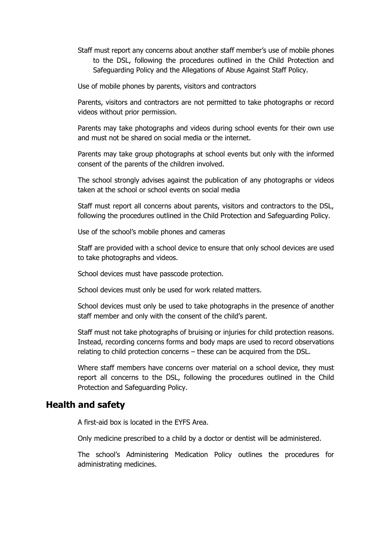Staff must report any concerns about another staff member's use of mobile phones to the DSL, following the procedures outlined in the Child Protection and Safeguarding Policy and the Allegations of Abuse Against Staff Policy.

Use of mobile phones by parents, visitors and contractors

Parents, visitors and contractors are not permitted to take photographs or record videos without prior permission.

Parents may take photographs and videos during school events for their own use and must not be shared on social media or the internet.

Parents may take group photographs at school events but only with the informed consent of the parents of the children involved.

The school strongly advises against the publication of any photographs or videos taken at the school or school events on social media

Staff must report all concerns about parents, visitors and contractors to the DSL, following the procedures outlined in the Child Protection and Safeguarding Policy.

Use of the school's mobile phones and cameras

Staff are provided with a school device to ensure that only school devices are used to take photographs and videos.

School devices must have passcode protection.

School devices must only be used for work related matters.

School devices must only be used to take photographs in the presence of another staff member and only with the consent of the child's parent.

Staff must not take photographs of bruising or injuries for child protection reasons. Instead, recording concerns forms and body maps are used to record observations relating to child protection concerns – these can be acquired from the DSL.

Where staff members have concerns over material on a school device, they must report all concerns to the DSL, following the procedures outlined in the Child Protection and Safeguarding Policy.

#### **Health and safety**

A first-aid box is located in the EYFS Area.

Only medicine prescribed to a child by a doctor or dentist will be administered.

The school's Administering Medication Policy outlines the procedures for administrating medicines.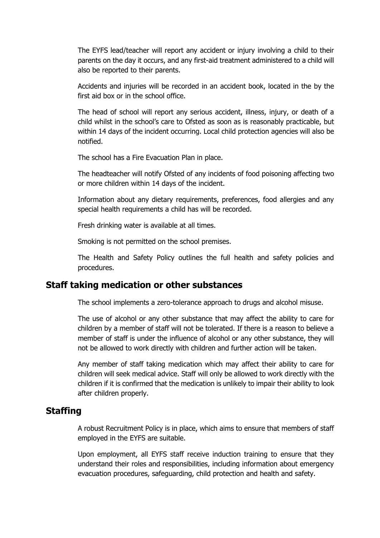The EYFS lead/teacher will report any accident or injury involving a child to their parents on the day it occurs, and any first-aid treatment administered to a child will also be reported to their parents.

Accidents and injuries will be recorded in an accident book, located in the by the first aid box or in the school office.

The head of school will report any serious accident, illness, injury, or death of a child whilst in the school's care to Ofsted as soon as is reasonably practicable, but within 14 days of the incident occurring. Local child protection agencies will also be notified.

The school has a Fire Evacuation Plan in place.

The headteacher will notify Ofsted of any incidents of food poisoning affecting two or more children within 14 days of the incident.

Information about any dietary requirements, preferences, food allergies and any special health requirements a child has will be recorded.

Fresh drinking water is available at all times.

Smoking is not permitted on the school premises.

The Health and Safety Policy outlines the full health and safety policies and procedures.

#### **Staff taking medication or other substances**

The school implements a zero-tolerance approach to drugs and alcohol misuse.

The use of alcohol or any other substance that may affect the ability to care for children by a member of staff will not be tolerated. If there is a reason to believe a member of staff is under the influence of alcohol or any other substance, they will not be allowed to work directly with children and further action will be taken.

Any member of staff taking medication which may affect their ability to care for children will seek medical advice. Staff will only be allowed to work directly with the children if it is confirmed that the medication is unlikely to impair their ability to look after children properly.

#### **Staffing**

A robust Recruitment Policy is in place, which aims to ensure that members of staff employed in the EYFS are suitable.

Upon employment, all EYFS staff receive induction training to ensure that they understand their roles and responsibilities, including information about emergency evacuation procedures, safeguarding, child protection and health and safety.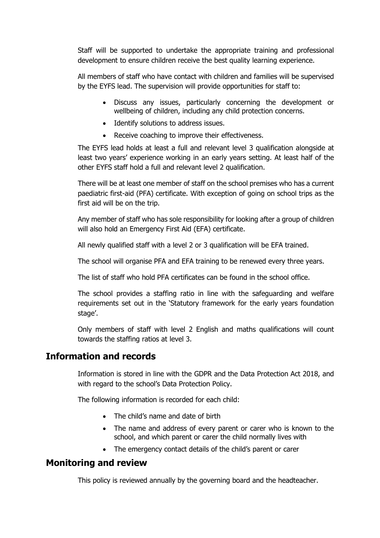Staff will be supported to undertake the appropriate training and professional development to ensure children receive the best quality learning experience.

All members of staff who have contact with children and families will be supervised by the EYFS lead. The supervision will provide opportunities for staff to:

- Discuss any issues, particularly concerning the development or wellbeing of children, including any child protection concerns.
- Identify solutions to address issues.
- Receive coaching to improve their effectiveness.

The EYFS lead holds at least a full and relevant level 3 qualification alongside at least two years' experience working in an early years setting. At least half of the other EYFS staff hold a full and relevant level 2 qualification.

There will be at least one member of staff on the school premises who has a current paediatric first-aid (PFA) certificate. With exception of going on school trips as the first aid will be on the trip.

Any member of staff who has sole responsibility for looking after a group of children will also hold an Emergency First Aid (EFA) certificate.

All newly qualified staff with a level 2 or 3 qualification will be EFA trained.

The school will organise PFA and EFA training to be renewed every three years.

The list of staff who hold PFA certificates can be found in the school office.

The school provides a staffing ratio in line with the safeguarding and welfare requirements set out in the 'Statutory framework for the early years foundation stage'.

Only members of staff with level 2 English and maths qualifications will count towards the staffing ratios at level 3.

## **Information and records**

Information is stored in line with the GDPR and the Data Protection Act 2018, and with regard to the school's Data Protection Policy.

The following information is recorded for each child:

- The child's name and date of birth
- The name and address of every parent or carer who is known to the school, and which parent or carer the child normally lives with
- The emergency contact details of the child's parent or carer

## **Monitoring and review**

This policy is reviewed annually by the governing board and the headteacher.